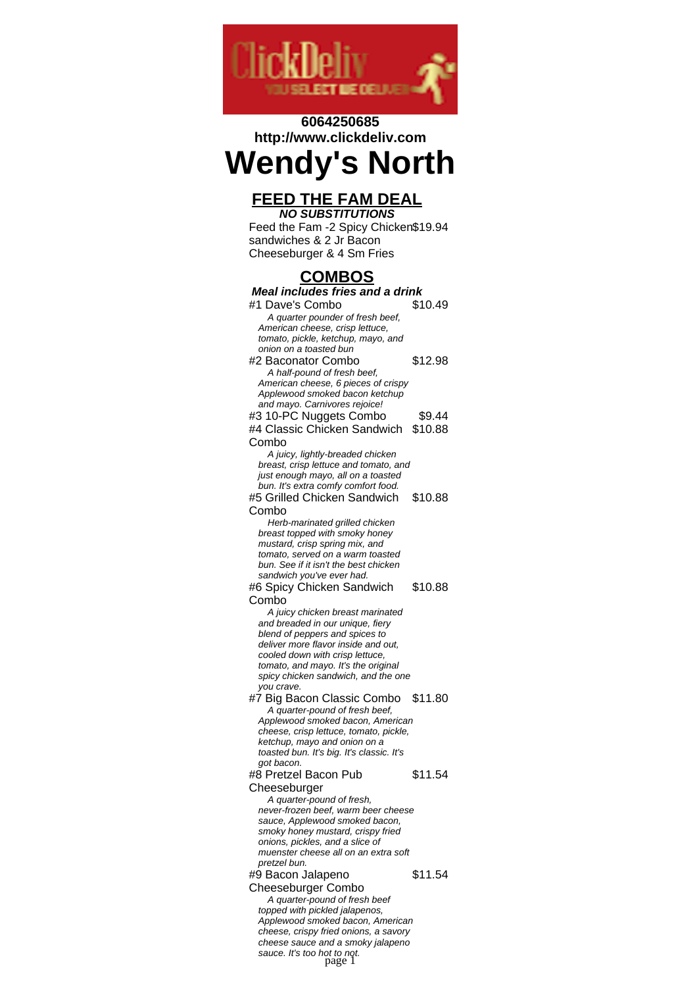

# **6064250685 http://www.clickdeliv.com**

# **Wendy's North**

## **FEED THE FAM DEAL NO SUBSTITUTIONS**

Feed the Fam -2 Spicy Chicken \$19.94 sandwiches & 2 Jr Bacon Cheeseburger & 4 Sm Fries

# **COMBOS**

| <u>JUNDUJ</u>                                                        |         |  |
|----------------------------------------------------------------------|---------|--|
| <b>Meal includes fries and a drink</b>                               |         |  |
| #1 Dave's Combo                                                      | \$10.49 |  |
| A quarter pounder of fresh beef,                                     |         |  |
| American cheese, crisp lettuce,                                      |         |  |
| tomato, pickle, ketchup, mayo, and                                   |         |  |
| onion on a toasted bun                                               |         |  |
| #2 Baconator Combo                                                   | \$12.98 |  |
| A half-pound of fresh beef,                                          |         |  |
| American cheese, 6 pieces of crispy                                  |         |  |
| Applewood smoked bacon ketchup                                       |         |  |
| and mayo. Carnivores rejoice!                                        |         |  |
| #3 10-PC Nuggets Combo                                               | \$9.44  |  |
| #4 Classic Chicken Sandwich                                          | \$10.88 |  |
| Combo                                                                |         |  |
| A juicy, lightly-breaded chicken                                     |         |  |
| breast, crisp lettuce and tomato, and                                |         |  |
| just enough mayo, all on a toasted                                   |         |  |
| bun. It's extra comfy comfort food.                                  |         |  |
| #5 Grilled Chicken Sandwich                                          | \$10.88 |  |
| Combo                                                                |         |  |
| Herb-marinated grilled chicken                                       |         |  |
| breast topped with smoky honey                                       |         |  |
| mustard, crisp spring mix, and                                       |         |  |
| tomato, served on a warm toasted                                     |         |  |
| bun. See if it isn't the best chicken                                |         |  |
| sandwich you've ever had.                                            |         |  |
| #6 Spicy Chicken Sandwich                                            | \$10.88 |  |
| Combo                                                                |         |  |
| A juicy chicken breast marinated                                     |         |  |
| and breaded in our unique, fiery<br>blend of peppers and spices to   |         |  |
| deliver more flavor inside and out,                                  |         |  |
| cooled down with crisp lettuce,                                      |         |  |
| tomato, and mayo. It's the original                                  |         |  |
| spicy chicken sandwich, and the one                                  |         |  |
| you crave.                                                           |         |  |
| #7 Big Bacon Classic Combo                                           | \$11.80 |  |
| A quarter-pound of fresh beef,                                       |         |  |
| Applewood smoked bacon, American                                     |         |  |
| cheese, crisp lettuce, tomato, pickle,                               |         |  |
| ketchup, mayo and onion on a                                         |         |  |
| toasted bun. It's big. It's classic. It's                            |         |  |
| got bacon.                                                           |         |  |
| #8 Pretzel Bacon Pub                                                 | \$11.54 |  |
| Cheeseburger                                                         |         |  |
| A quarter-pound of fresh,                                            |         |  |
| never-frozen beef, warm beer cheese                                  |         |  |
| sauce, Applewood smoked bacon,                                       |         |  |
| smoky honey mustard, crispy fried<br>onions, pickles, and a slice of |         |  |
| muenster cheese all on an extra soft                                 |         |  |
| pretzel bun.                                                         |         |  |
| #9 Bacon Jalapeno                                                    | \$11.54 |  |
| <b>Cheeseburger Combo</b>                                            |         |  |
| A quarter-pound of fresh beef                                        |         |  |
| topped with pickled jalapenos,                                       |         |  |
| Applewood smoked bacon, American                                     |         |  |
| cheese, crispy fried onions, a savory                                |         |  |
| cheese sauce and a smoky jalapeno                                    |         |  |
| sauce. It's too hot to not.<br>page 1                                |         |  |
|                                                                      |         |  |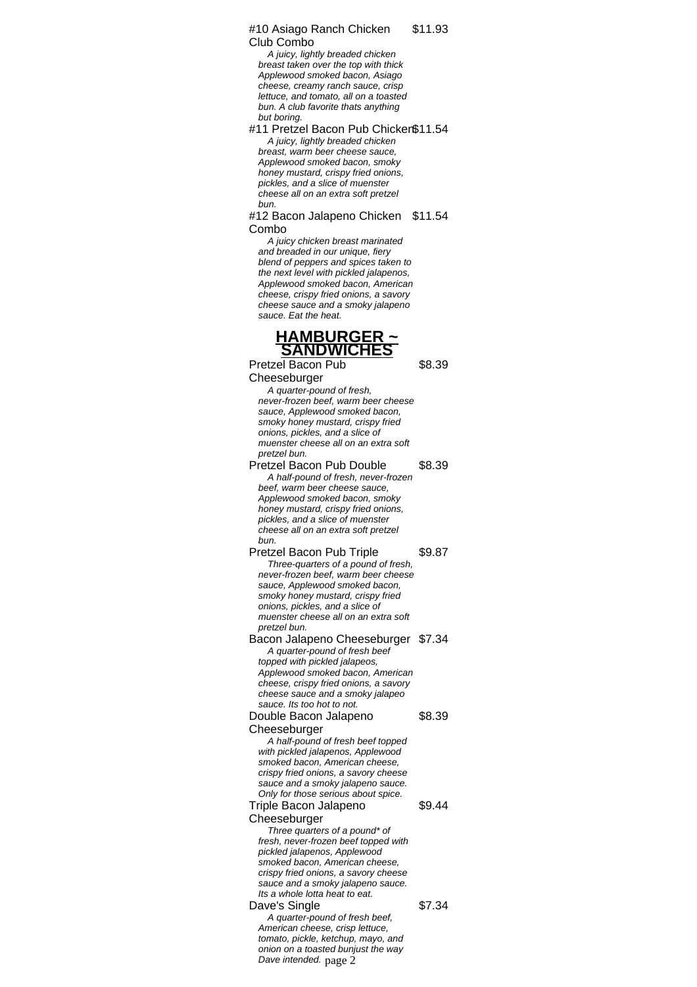#10 Asiago Ranch Chicken Club Combo \$11.93

A juicy, lightly breaded chicken breast taken over the top with thick Applewood smoked bacon, Asiago cheese, creamy ranch sauce, crisp lettuce, and tomato, all on a toasted bun. A club favorite thats anything but boring.

#11 Pretzel Bacon Pub Chicken\$11.54 A juicy, lightly breaded chicken breast, warm beer cheese sauce, Applewood smoked bacon, smoky honey mustard, crispy fried onions, pickles, and a slice of muenster cheese all on an extra soft pretzel bun.

#12 Bacon Jalapeno Chicken \$11.54 Combo

A juicy chicken breast marinated and breaded in our unique, fiery blend of peppers and spices taken to the next level with pickled jalapenos, Applewood smoked bacon, American cheese, crispy fried onions, a savory cheese sauce and a smoky jalapeno sauce. Eat the heat.

# **HAMBURGER ~ SANDWICHES**

Pretzel Bacon Pub Cheeseburger \$8.39 A quarter-pound of fresh, never-frozen beef, warm beer cheese sauce, Applewood smoked bacon, smoky honey mustard, crispy fried onions, pickles, and a slice of muenster cheese all on an extra soft pretzel bun. Pretzel Bacon Pub Double \$8.39 A half-pound of fresh, never-frozen beef, warm beer cheese sauce, Applewood smoked bacon, smoky honey mustard, crispy fried onions, pickles, and a slice of muenster cheese all on an extra soft pretzel bun. Pretzel Bacon Pub Triple \$9.87 Three-quarters of a pound of fresh, never-frozen beef, warm beer cheese sauce, Applewood smoked bacon, smoky honey mustard, crispy fried onions, pickles, and a slice of muenster cheese all on an extra soft pretzel bun. Bacon Jalapeno Cheeseburger \$7.34 A quarter-pound of fresh beef topped with pickled jalapeos, Applewood smoked bacon, American cheese, crispy fried onions, a savory cheese sauce and a smoky jalapeo sauce. Its too hot to not. Double Bacon Jalapeno **Cheeseburger** \$8.39 A half-pound of fresh beef topped with pickled jalapenos, Applewood smoked bacon, American cheese, crispy fried onions, a savory cheese sauce and a smoky jalapeno sauce. Only for those serious about spice. Triple Bacon Jalapeno **Cheeseburger** \$9.44 Three quarters of a pound\* of fresh, never-frozen beef topped with pickled jalapenos, Applewood smoked bacon, American cheese, crispy fried onions, a savory cheese sauce and a smoky jalapeno sauce. Its a whole lotta heat to eat. Dave's Single \$7.34 A quarter-pound of fresh beef, American cheese, crisp lettuce, tomato, pickle, ketchup, mayo, and onion on a toasted bunjust the way

Dave intended. page 2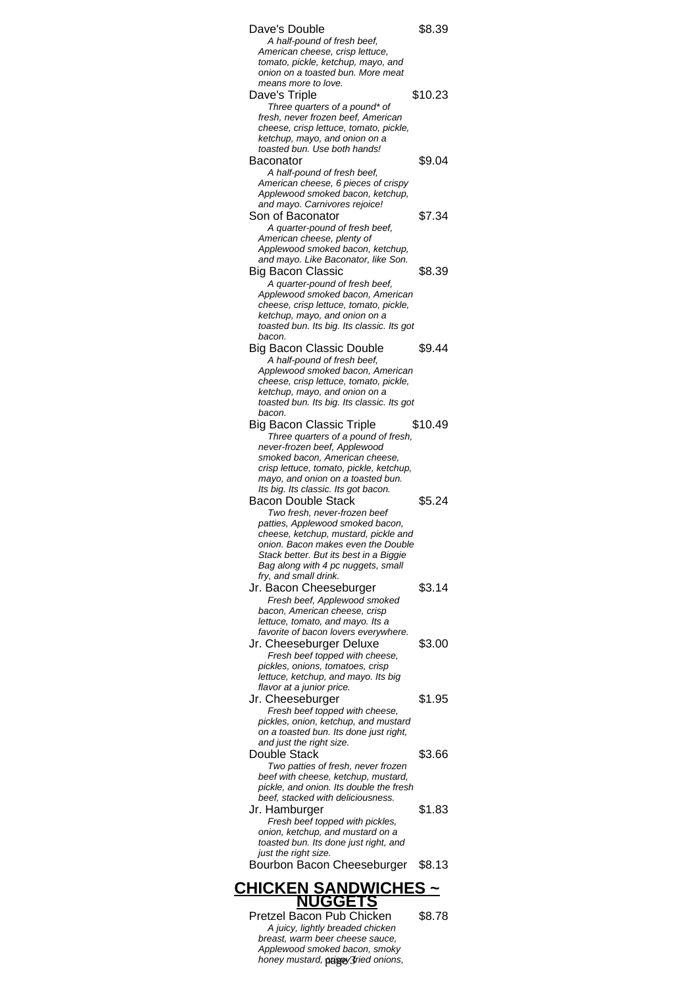| 70                                                                             |         |  |  |
|--------------------------------------------------------------------------------|---------|--|--|
| <b>CHICKEN SANDWICHES</b>                                                      |         |  |  |
| Bourbon Bacon Cheeseburger                                                     | \$8.13  |  |  |
| toasted bun. Its done just right, and<br>just the right size.                  |         |  |  |
| onion, ketchup, and mustard on a                                               |         |  |  |
| Jr. Hamburger<br>Fresh beef topped with pickles,                               | \$1.83  |  |  |
| beef, stacked with deliciousness.                                              |         |  |  |
| beef with cheese, ketchup, mustard,<br>pickle, and onion. Its double the fresh |         |  |  |
| Double Stack<br>Two patties of fresh, never frozen                             | \$3.66  |  |  |
| and just the right size.                                                       |         |  |  |
| pickles, onion, ketchup, and mustard<br>on a toasted bun. Its done just right, |         |  |  |
| Jr. Cheeseburger<br>Fresh beef topped with cheese,                             | \$1.95  |  |  |
| flavor at a junior price.                                                      |         |  |  |
| pickles, onions, tomatoes, crisp<br>lettuce, ketchup, and mayo. Its big        |         |  |  |
| Jr. Cheeseburger Deluxe<br>Fresh beef topped with cheese,                      | \$3.00  |  |  |
| favorite of bacon lovers everywhere.                                           |         |  |  |
| bacon, American cheese, crisp<br>lettuce, tomato, and mayo. Its a              |         |  |  |
| Fresh beef, Applewood smoked                                                   |         |  |  |
| fry, and small drink.<br>Jr. Bacon Cheeseburger                                | \$3.14  |  |  |
| Bag along with 4 pc nuggets, small                                             |         |  |  |
| onion. Bacon makes even the Double<br>Stack better. But its best in a Biggie   |         |  |  |
| patties, Applewood smoked bacon,<br>cheese, ketchup, mustard, pickle and       |         |  |  |
| Two fresh, never-frozen beef                                                   |         |  |  |
| Its big. Its classic. Its got bacon.<br><b>Bacon Double Stack</b>              | \$5.24  |  |  |
| mayo, and onion on a toasted bun.                                              |         |  |  |
| smoked bacon, American cheese,<br>crisp lettuce, tomato, pickle, ketchup,      |         |  |  |
| never-frozen beef, Applewood                                                   |         |  |  |
| <b>Big Bacon Classic Triple</b><br>Three quarters of a pound of fresh,         | \$10.49 |  |  |
| toasted bun. Its big. Its classic. Its got<br>bacon.                           |         |  |  |
| ketchup, mayo, and onion on a                                                  |         |  |  |
| Applewood smoked bacon, American<br>cheese, crisp lettuce, tomato, pickle,     |         |  |  |
| A half-pound of fresh beef,                                                    |         |  |  |
| bacon.<br><b>Big Bacon Classic Double</b>                                      | \$9.44  |  |  |
| toasted bun. Its big. Its classic. Its got                                     |         |  |  |
| cheese, crisp lettuce, tomato, pickle,<br>ketchup, mayo, and onion on a        |         |  |  |
| A quarter-pound of fresh beef,<br>Applewood smoked bacon, American             |         |  |  |
| Big Bacon Classic                                                              | \$8.39  |  |  |
| and mayo. Like Baconator, like Son.                                            |         |  |  |
| American cheese, plenty of<br>Applewood smoked bacon, ketchup,                 |         |  |  |
| A quarter-pound of fresh beef,                                                 |         |  |  |
| and mayo. Carnivores rejoice!<br>Son of Baconator                              | \$7.34  |  |  |
| American cheese, 6 pieces of crispy<br>Applewood smoked bacon, ketchup,        |         |  |  |
| A half-pound of fresh beef,                                                    |         |  |  |
| Baconator                                                                      | \$9.04  |  |  |
| ketchup, mayo, and onion on a<br>toasted bun. Use both hands!                  |         |  |  |
| fresh, never frozen beef, American<br>cheese, crisp lettuce, tomato, pickle,   |         |  |  |
| Three quarters of a pound* of                                                  |         |  |  |
| means more to love.<br>Dave's Triple                                           | \$10.23 |  |  |
| onion on a toasted bun. More meat                                              |         |  |  |
| American cheese, crisp lettuce,<br>tomato, pickle, ketchup, mayo, and          |         |  |  |
| Dave's Double<br>A half-pound of fresh beef,                                   | \$8.39  |  |  |
|                                                                                |         |  |  |

Pretzel Bacon Pub Chicken \$8.78 A juicy, lightly breaded chicken breast, warm beer cheese sauce, Applewood smoked bacon, smoky honey mustard, *prigny* fried onions,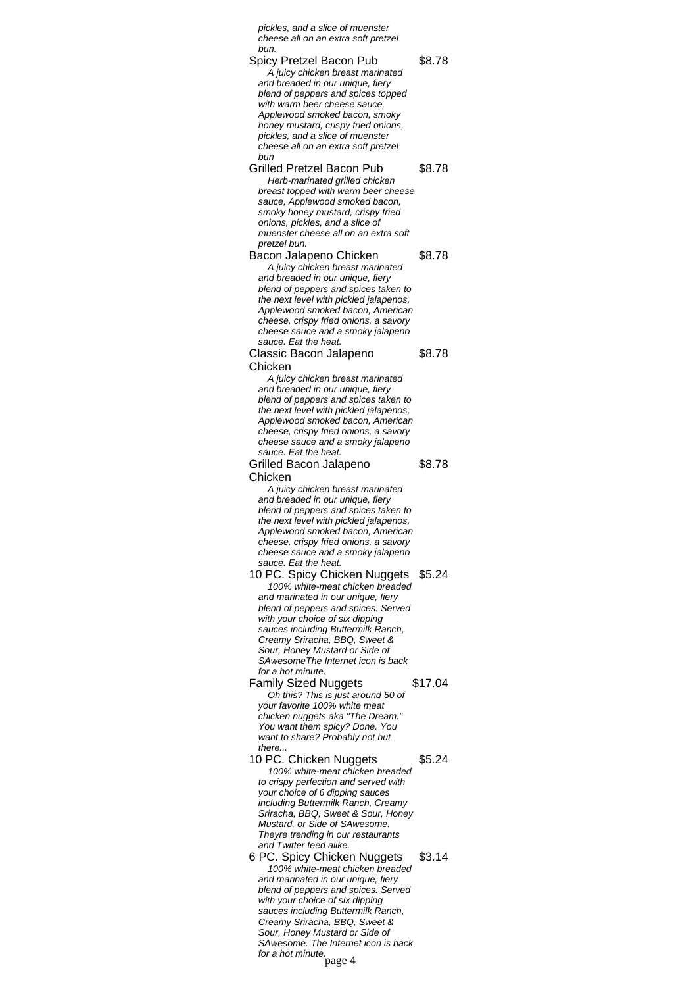pickles, and a slice of muenster cheese all on an extra soft pretzel bun.

Spicy Pretzel Bacon Pub \$8.78 A juicy chicken breast marinated and breaded in our unique, fiery blend of peppers and spices topped with warm beer cheese sauce, Applewood smoked bacon, smoky honey mustard, crispy fried onions, pickles, and a slice of muenster cheese all on an extra soft pretzel bun Grilled Pretzel Bacon Pub \$8.78 Herb-marinated grilled chicken breast topped with warm beer cheese sauce, Applewood smoked bacon. smoky honey mustard, crispy fried onions, pickles, and a slice of muenster cheese all on an extra soft pretzel bun. Bacon Jalapeno Chicken \$8.78 A juicy chicken breast marinated and breaded in our unique, fiery blend of peppers and spices taken to the next level with pickled jalapenos, Applewood smoked bacon, American cheese, crispy fried onions, a savory cheese sauce and a smoky jalapeno sauce. Eat the heat. Classic Bacon Jalapeno Chicken \$8.78 A juicy chicken breast marinated and breaded in our unique, fiery blend of peppers and spices taken to the next level with pickled jalapenos, Applewood smoked bacon, American cheese, crispy fried onions, a savory cheese sauce and a smoky jalapeno sauce. Eat the heat. Grilled Bacon Jalapeno **Chicken** \$8.78 A juicy chicken breast marinated and breaded in our unique, fiery blend of peppers and spices taken to the next level with pickled jalapenos, Applewood smoked bacon, American cheese, crispy fried onions, a savory cheese sauce and a smoky jalapeno sauce. Eat the heat. 10 PC. Spicy Chicken Nuggets \$5.24 100% white-meat chicken breaded and marinated in our unique, fiery blend of peppers and spices. Served with your choice of six dipping sauces including Buttermilk Ranch, Creamy Sriracha, BBQ, Sweet & Sour, Honey Mustard or Side of SAwesomeThe Internet icon is back for a hot minute. Family Sized Nuggets \$17.04 Oh this? This is just around 50 of your favorite 100% white meat chicken nuggets aka "The Dream." You want them spicy? Done. You want to share? Probably not but there. 10 PC. Chicken Nuggets \$5.24 100% white-meat chicken breaded to crispy perfection and served with your choice of 6 dipping sauces including Buttermilk Ranch, Creamy Sriracha, BBQ, Sweet & Sour, Honey Mustard, or Side of SAwesome. Theyre trending in our restaurants and Twitter feed alike. 6 PC. Spicy Chicken Nuggets \$3.14 100% white-meat chicken breaded and marinated in our unique, fiery blend of peppers and spices. Served with your choice of six dipping sauces including Buttermilk Ranch, Creamy Sriracha, BBQ, Sweet & Sour, Honey Mustard or Side of SAwesome. The Internet icon is back

SAwesonic.<br>for a hot minute.<br>page 4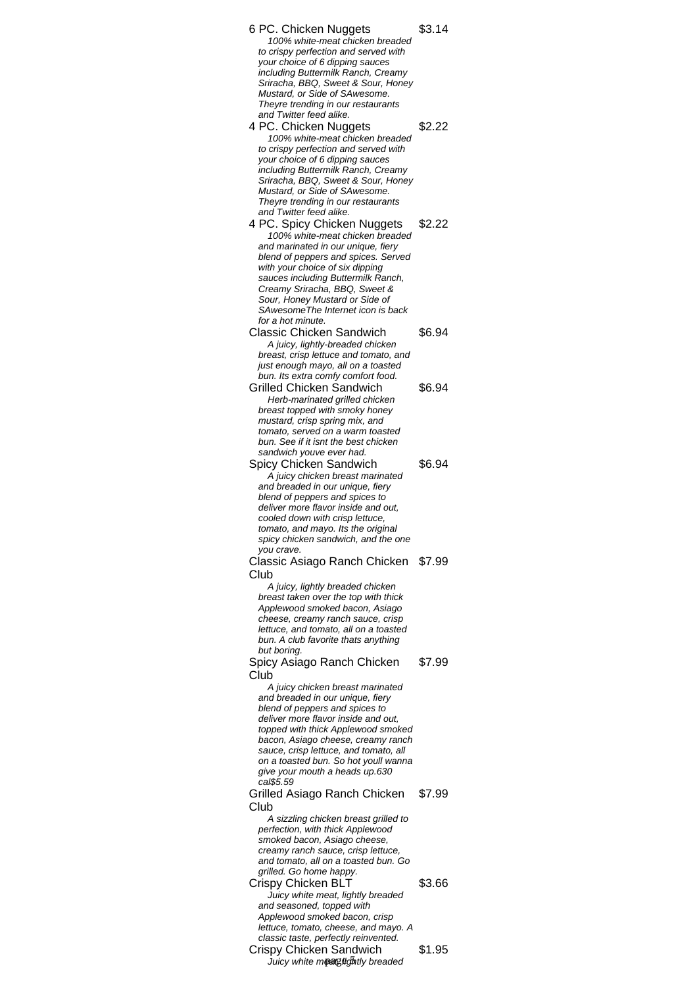| 6 PC. Chicken Nuggets<br>100% white-meat chicken breaded<br>to crispy perfection and served with<br>your choice of 6 dipping sauces<br>including Buttermilk Ranch, Creamy<br>Sriracha, BBQ, Sweet & Sour, Honey<br>Mustard, or Side of SAwesome.<br>Theyre trending in our restaurants<br>and Twitter feed alike.                                                                               | \$3.14 |
|-------------------------------------------------------------------------------------------------------------------------------------------------------------------------------------------------------------------------------------------------------------------------------------------------------------------------------------------------------------------------------------------------|--------|
| 4 PC. Chicken Nuggets<br>100% white-meat chicken breaded<br>to crispy perfection and served with<br>your choice of 6 dipping sauces<br>including Buttermilk Ranch, Creamy<br>Sriracha, BBQ, Sweet & Sour, Honey<br>Mustard, or Side of SAwesome.<br>Theyre trending in our restaurants<br>and Twitter feed alike.                                                                               | \$2.22 |
| 4 PC. Spicy Chicken Nuggets<br>100% white-meat chicken breaded<br>and marinated in our unique, fiery<br>blend of peppers and spices. Served<br>with your choice of six dipping<br>sauces including Buttermilk Ranch,<br>Creamy Sriracha, BBQ, Sweet &<br>Sour, Honey Mustard or Side of<br>SAwesomeThe Internet icon is back<br>for a hot minute.                                               | \$2.22 |
| <b>Classic Chicken Sandwich</b><br>A juicy, lightly-breaded chicken<br>breast, crisp lettuce and tomato, and<br>just enough mayo, all on a toasted<br>bun. Its extra comfy comfort food.                                                                                                                                                                                                        | \$6.94 |
| Grilled Chicken Sandwich<br>Herb-marinated grilled chicken<br>breast topped with smoky honey<br>mustard, crisp spring mix, and<br>tomato, served on a warm toasted<br>bun. See if it isnt the best chicken<br>sandwich youve ever had.                                                                                                                                                          | \$6.94 |
| Spicy Chicken Sandwich<br>A juicy chicken breast marinated<br>and breaded in our unique, fiery<br>blend of peppers and spices to<br>deliver more flavor inside and out,<br>cooled down with crisp lettuce,<br>tomato, and mayo. Its the original<br>spicy chicken sandwich, and the one<br>you crave.                                                                                           | \$6.94 |
| Classic Asiago Ranch Chicken \$7.99<br>Club<br>A juicy, lightly breaded chicken<br>breast taken over the top with thick<br>Applewood smoked bacon, Asiago<br>cheese, creamy ranch sauce, crisp<br>lettuce, and tomato, all on a toasted<br>bun. A club favorite thats anything<br>but boring.                                                                                                   |        |
| Spicy Asiago Ranch Chicken<br>Club<br>A juicy chicken breast marinated<br>and breaded in our unique, fiery<br>blend of peppers and spices to<br>deliver more flavor inside and out,<br>topped with thick Applewood smoked<br>bacon, Asiago cheese, creamy ranch<br>sauce, crisp lettuce, and tomato, all<br>on a toasted bun. So hot youll wanna<br>give your mouth a heads up.630<br>cal\$5.59 | \$7.99 |
| Grilled Asiago Ranch Chicken<br>Club<br>A sizzling chicken breast grilled to<br>perfection, with thick Applewood<br>smoked bacon, Asiago cheese,<br>creamy ranch sauce, crisp lettuce,<br>and tomato, all on a toasted bun. Go<br>grilled. Go home happy.                                                                                                                                       | \$7.99 |
| <b>Crispy Chicken BLT</b><br>Juicy white meat, lightly breaded<br>and seasoned, topped with<br>Applewood smoked bacon, crisp<br>lettuce, tomato, cheese, and mayo. A<br>classic taste, perfectly reinvented.                                                                                                                                                                                    | \$3.66 |
| Crispy Chicken Sandwich<br>Juicy white meaged fitly breaded                                                                                                                                                                                                                                                                                                                                     | \$1.95 |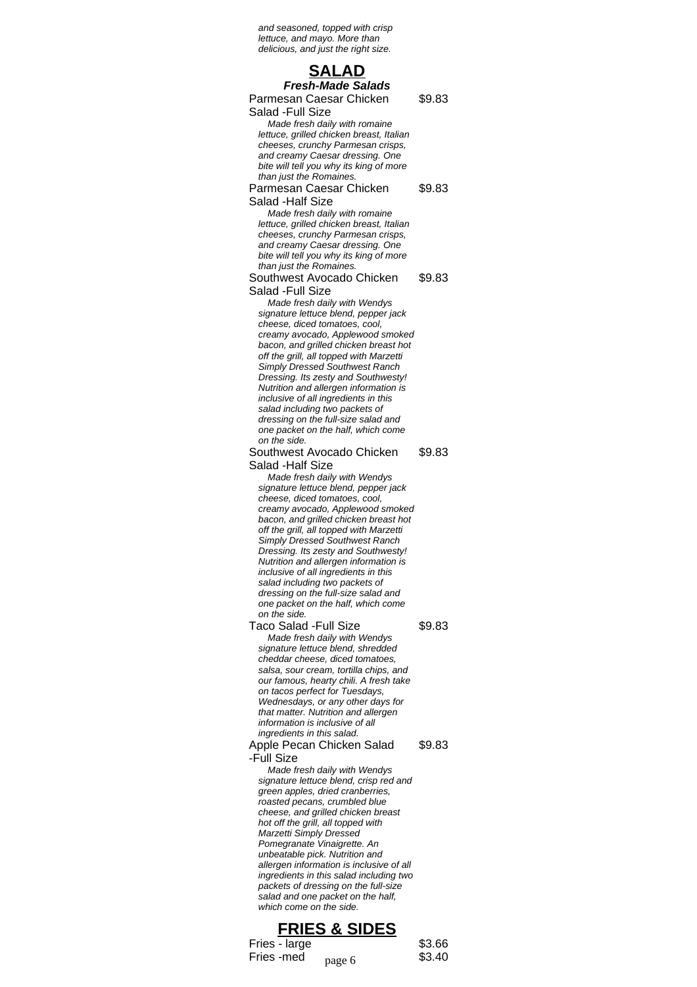and seasoned, topped with crisp lettuce, and mayo. More than delicious, and just the right size.

## **SALAD Fresh-Made Salads**

\$9.83

Parmesan Caesar Chicken

Salad -Full Size Made fresh daily with romaine lettuce, grilled chicken breast, Italian cheeses, crunchy Parmesan crisps, and creamy Caesar dressing. One bite will tell you why its king of more than just the Romaines.

#### Parmesan Caesar Chicken Salad -Half Size \$9.83

Made fresh daily with romaine lettuce, grilled chicken breast, Italian cheeses, crunchy Parmesan crisps, and creamy Caesar dressing. One bite will tell you why its king of more than just the Romaines.

#### Southwest Avocado Chicken Salad -Full Size \$9.83

Made fresh daily with Wendys signature lettuce blend, pepper jack cheese, diced tomatoes, cool, creamy avocado, Applewood smoked bacon, and grilled chicken breast hot off the grill, all topped with Marzetti Simply Dressed Southwest Ranch Dressing. Its zesty and Southwesty! Nutrition and allergen information is inclusive of all ingredients in this salad including two packets of dressing on the full-size salad and one packet on the half, which come on the side.

#### Southwest Avocado Chicken Salad -Half Size \$9.83

Made fresh daily with Wendys signature lettuce blend, pepper jack cheese, diced tomatoes, cool, creamy avocado, Applewood smoked bacon, and grilled chicken breast hot off the grill, all topped with Marzetti Simply Dressed Southwest Ranch Dressing. Its zesty and Southwesty! Nutrition and allergen information is inclusive of all ingredients in this salad including two packets of dressing on the full-size salad and one packet on the half, which come on the side.

Taco Salad -Full Size **\$9.83** Made fresh daily with Wendys signature lettuce blend, shredded cheddar cheese, diced tomatoes, salsa, sour cream, tortilla chips, and our famous, hearty chili. A fresh take on tacos perfect for Tuesdays, Wednesdays, or any other days for that matter. Nutrition and allergen information is inclusive of all ingredients in this salad.

#### Apple Pecan Chicken Salad -Full Size \$9.83

Made fresh daily with Wendys signature lettuce blend, crisp red and green apples, dried cranberries, roasted pecans, crumbled blue cheese, and grilled chicken breast hot off the grill, all topped with Marzetti Simply Dressed Pomegranate Vinaigrette. An unbeatable pick. Nutrition and allergen information is inclusive of all ingredients in this salad including two packets of dressing on the full-size salad and one packet on the half, which come on the side.

# **FRIES & SIDES**

Fries - large  $$3.66$ Fries -med  $_{\text{page 6}}$  \$3.40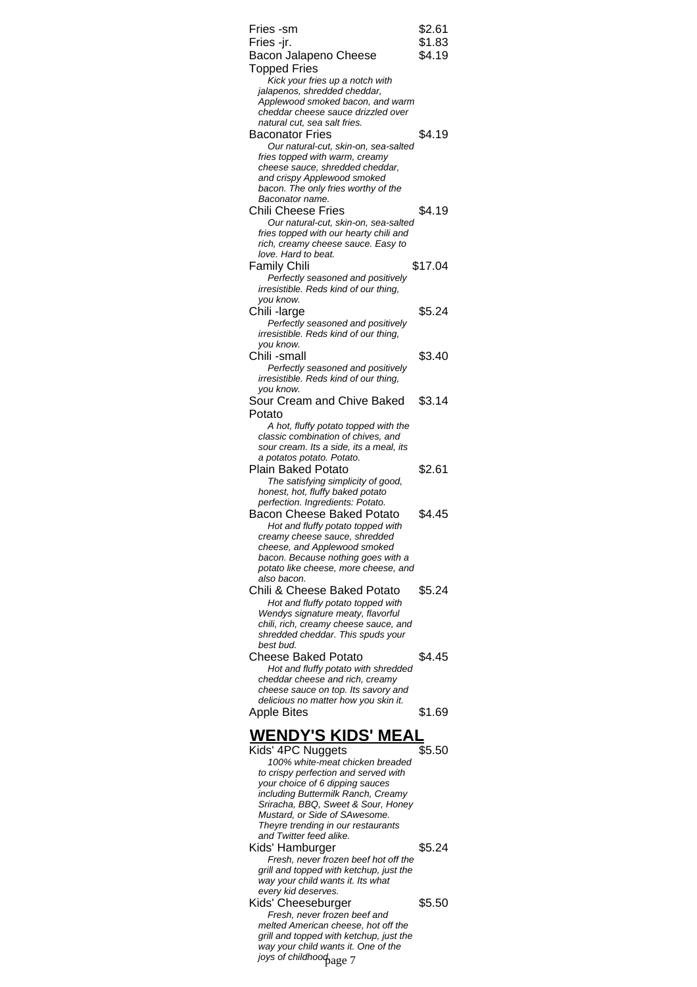| Fries -sm                                                                    | \$2.61             |
|------------------------------------------------------------------------------|--------------------|
| Fries -jr.                                                                   | \$1.83             |
| Bacon Jalapeno Cheese                                                        | \$4.19             |
| <b>Topped Fries</b>                                                          |                    |
| Kick your fries up a notch with                                              |                    |
| jalapenos, shredded cheddar,<br>Applewood smoked bacon, and warm             |                    |
| cheddar cheese sauce drizzled over                                           |                    |
| natural cut, sea salt fries.                                                 |                    |
| Baconator Fries                                                              | \$4.19             |
| Our natural-cut, skin-on, sea-salted                                         |                    |
| fries topped with warm, creamy                                               |                    |
| cheese sauce, shredded cheddar,                                              |                    |
| and crispy Applewood smoked<br>bacon. The only fries worthy of the           |                    |
| Baconator name.                                                              |                    |
| Chili Cheese Fries                                                           | \$4.19             |
| Our natural-cut, skin-on, sea-salted                                         |                    |
| fries topped with our hearty chili and                                       |                    |
| rich, creamy cheese sauce. Easy to                                           |                    |
| love. Hard to beat.                                                          |                    |
| <b>Family Chili</b>                                                          | \$17.04            |
| Perfectly seasoned and positively                                            |                    |
| irresistible. Reds kind of our thing,<br>you know.                           |                    |
| Chili-large                                                                  | \$5.24             |
| Perfectly seasoned and positively                                            |                    |
| irresistible. Reds kind of our thing,                                        |                    |
| you know.                                                                    |                    |
| Chili -small                                                                 | \$3.40             |
| Perfectly seasoned and positively                                            |                    |
| irresistible. Reds kind of our thing,                                        |                    |
| you know.                                                                    |                    |
| Sour Cream and Chive Baked                                                   | \$3.14             |
| Potato                                                                       |                    |
| A hot, fluffy potato topped with the<br>classic combination of chives, and   |                    |
| sour cream. Its a side, its a meal, its                                      |                    |
| a potatos potato. Potato.                                                    |                    |
| Plain Baked Potato                                                           | \$2.61             |
| The satisfying simplicity of good,                                           |                    |
| honest, hot, fluffy baked potato                                             |                    |
| perfection. Ingredients: Potato.                                             |                    |
| <b>Bacon Cheese Baked Potato</b>                                             | \$4.45             |
| Hot and fluffy potato topped with<br>creamy cheese sauce, shredded           |                    |
| cheese, and Applewood smoked                                                 |                    |
| bacon. Because nothing goes with a                                           |                    |
| potato like cheese, more cheese, and                                         |                    |
| also bacon.                                                                  |                    |
|                                                                              |                    |
| Chili & Cheese Baked Potato                                                  | \$5.24             |
| Hot and fluffy potato topped with                                            |                    |
| Wendys signature meaty, flavorful                                            |                    |
| chili, rich, creamy cheese sauce, and                                        |                    |
| shredded cheddar. This spuds your<br>best bud.                               |                    |
|                                                                              |                    |
| <b>Cheese Baked Potato</b>                                                   | \$4.45             |
| Hot and fluffy potato with shredded<br>cheddar cheese and rich, creamy       |                    |
| cheese sauce on top. Its savory and                                          |                    |
| delicious no matter how you skin it.                                         |                    |
| Apple Bites                                                                  | \$1.69             |
|                                                                              |                    |
| <u>WENDY'S KIDS' MEAI</u>                                                    |                    |
| Kids' 4PC Nuggets                                                            | $\overline{$}5.50$ |
| 100% white-meat chicken breaded                                              |                    |
| to crispy perfection and served with                                         |                    |
| your choice of 6 dipping sauces<br>including Buttermilk Ranch, Creamy        |                    |
| Sriracha, BBQ, Sweet & Sour, Honey                                           |                    |
| Mustard, or Side of SAwesome.                                                |                    |
| Theyre trending in our restaurants                                           |                    |
| and Twitter feed alike.                                                      |                    |
| Kids' Hamburger                                                              | \$5.24             |
| Fresh, never frozen beef hot off the                                         |                    |
| grill and topped with ketchup, just the<br>way your child wants it. Its what |                    |
| every kid deserves.                                                          |                    |
| Kids' Cheeseburger                                                           | \$5.50             |
| Fresh, never frozen beef and                                                 |                    |
| melted American cheese, hot off the                                          |                    |
| grill and topped with ketchup, just the                                      |                    |
| way your child wants it. One of the<br>joys of childhood age 7               |                    |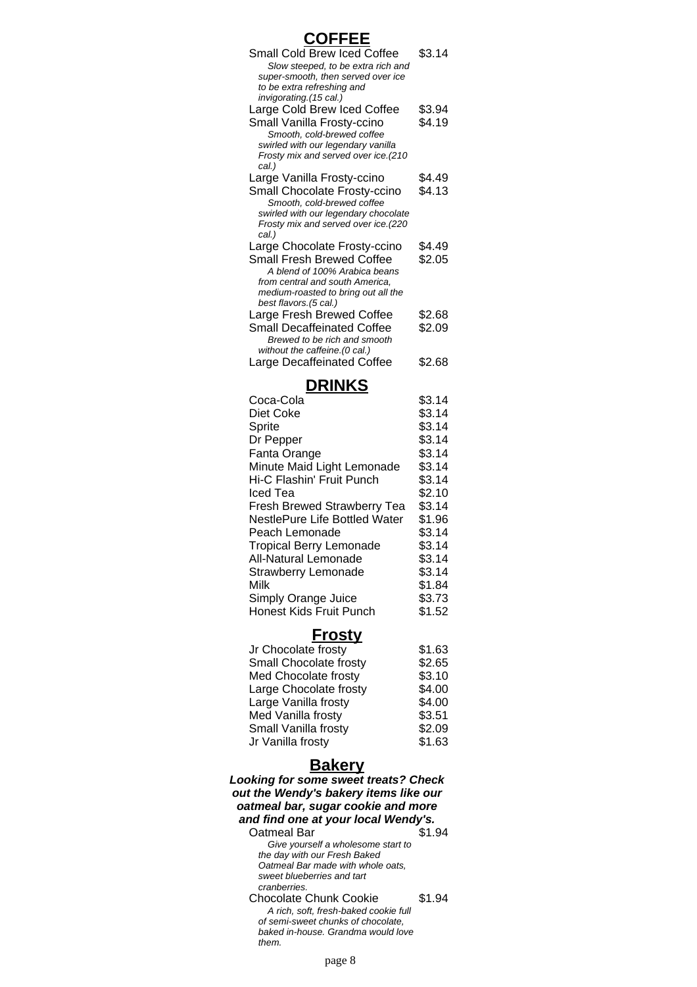#### **COFFEE** Small Cold Brew Iced Coffee \$3.14 Slow steeped, to be extra rich and super-smooth, then served over ice to be extra refreshing and invigorating.(15 cal.) Large Cold Brew Iced Coffee \$3.94<br>Small Vanilla Frosty-ccino \$4.19 Small Vanilla Frosty-ccino Smooth, cold-brewed coffee swirled with our legendary vanilla Frosty mix and served over ice.(210 cal.) Large Vanilla Frosty-ccino \$4.49 Small Chocolate Frosty-ccino \$4.13 Smooth, cold-brewed coffee swirled with our legendary chocolate Frosty mix and served over ice.(220 cal.) Large Chocolate Frosty-ccino \$4.49 Small Fresh Brewed Coffee \$2.05 A blend of 100% Arabica beans from central and south America, medium-roasted to bring out all the best flavors.(5 cal.) Large Fresh Brewed Coffee \$2.68 Small Decaffeinated Coffee \$2.09 Brewed to be rich and smooth without the caffeine.(0 cal.) Large Decaffeinated Coffee \$2.68

# **DRINKS**

| \$3.14 |
|--------|
| \$3.14 |
| \$3.14 |
| \$3.14 |
| \$3.14 |
| \$3.14 |
| \$3.14 |
| \$2.10 |
| \$3.14 |
| \$1.96 |
| \$3.14 |
| \$3.14 |
| \$3.14 |
| \$3.14 |
| \$1.84 |
| \$3.73 |
| \$1.52 |
|        |

# **Frosty**

| Jr Chocolate frosty    | \$1.63 |
|------------------------|--------|
| Small Chocolate frosty | \$2.65 |
| Med Chocolate frosty   | \$3.10 |
| Large Chocolate frosty | \$4.00 |
| Large Vanilla frosty   | \$4.00 |
| Med Vanilla frosty     | \$3.51 |
| Small Vanilla frosty   | \$2.09 |
| Jr Vanilla frosty      | \$1.63 |

# **Bakery**

**Looking for some sweet treats? Check out the Wendy's bakery items like our oatmeal bar, sugar cookie and more and find one at your local Wendy's.** Oatmeal Bar \$1.94

Give yourself a wholesome start to the day with our Fresh Baked Oatmeal Bar made with whole oats, sweet blueberries and tart cranberries. Chocolate Chunk Cookie \$1.94 A rich, soft, fresh-baked cookie full of semi-sweet chunks of chocolate, baked in-house. Grandma would love them.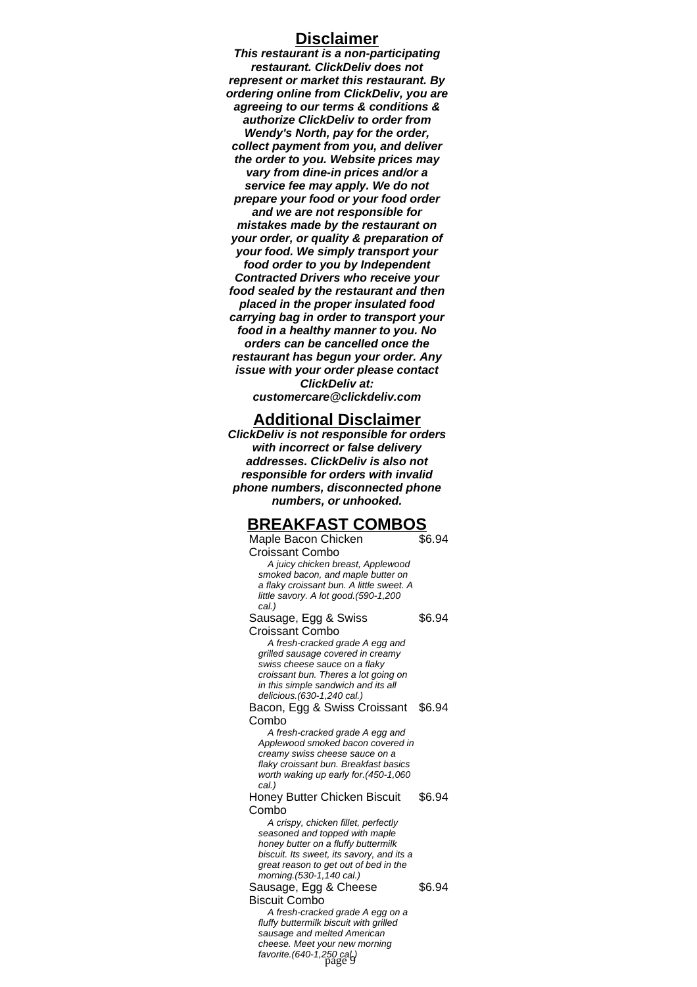## **Disclaimer**

**This restaurant is a non-participating restaurant. ClickDeliv does not represent or market this restaurant. By ordering online from ClickDeliv, you are agreeing to our terms & conditions & authorize ClickDeliv to order from Wendy's North, pay for the order, collect payment from you, and deliver the order to you. Website prices may vary from dine-in prices and/or a service fee may apply. We do not prepare your food or your food order and we are not responsible for mistakes made by the restaurant on your order, or quality & preparation of your food. We simply transport your food order to you by Independent Contracted Drivers who receive your food sealed by the restaurant and then placed in the proper insulated food carrying bag in order to transport your food in a healthy manner to you. No orders can be cancelled once the restaurant has begun your order. Any issue with your order please contact ClickDeliv at: customercare@clickdeliv.com**

# **Additional Disclaimer**

**ClickDeliv is not responsible for orders with incorrect or false delivery addresses. ClickDeliv is also not responsible for orders with invalid phone numbers, disconnected phone numbers, or unhooked.**

# **BREAKFAST COMBOS**

Maple Bacon Chicken Croissant Combo \$6.94 A juicy chicken breast, Applewood smoked bacon, and maple butter on a flaky croissant bun. A little sweet. A little savory. A lot good.(590-1,200 cal.) Sausage, Egg & Swiss Croissant Combo \$6.94 A fresh-cracked grade A egg and grilled sausage covered in creamy swiss cheese sauce on a flaky croissant bun. Theres a lot going on in this simple sandwich and its all delicious.(630-1,240 cal.) Bacon, Egg & Swiss Croissant \$6.94 Combo A fresh-cracked grade A egg and Applewood smoked bacon covered in creamy swiss cheese sauce on a flaky croissant bun. Breakfast basics worth waking up early for.(450-1,060 cal.) Honey Butter Chicken Biscuit Combo \$6.94 A crispy, chicken fillet, perfectly seasoned and topped with maple honey butter on a fluffy buttermilk biscuit. Its sweet, its savory, and its a great reason to get out of bed in the morning.(530-1,140 cal.) Sausage, Egg & Cheese Biscuit Combo \$6.94 A fresh-cracked grade A egg on a fluffy buttermilk biscuit with grilled sausage and melted American cheese. Meet your new morning favorite. $(640-1,250 \text{ cal})$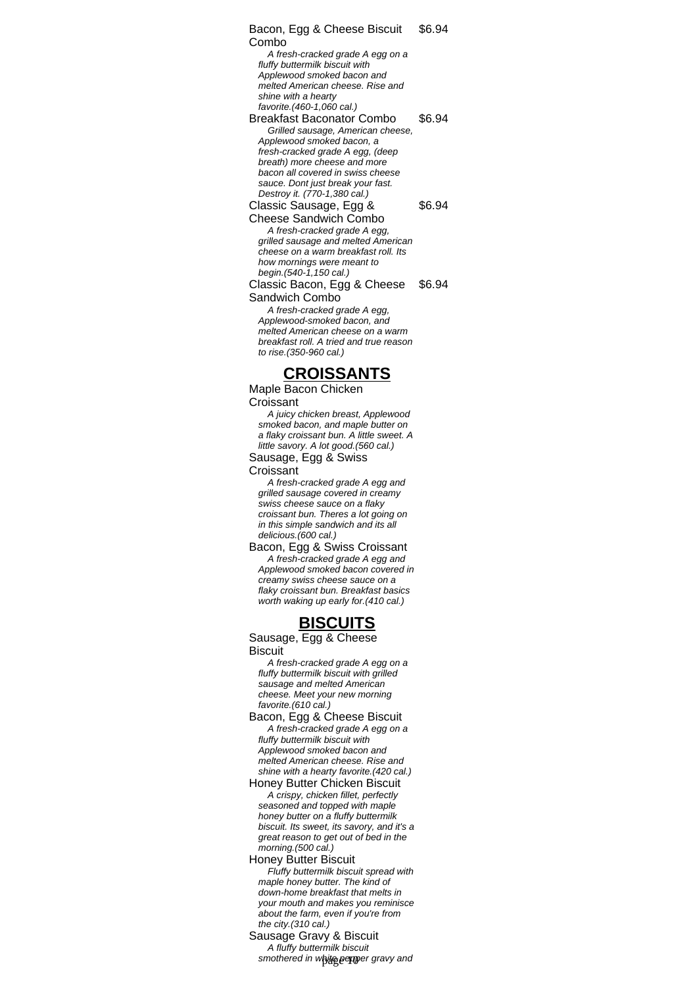Bacon, Egg & Cheese Biscuit Combo \$6.94 A fresh-cracked grade A egg on a fluffy buttermilk biscuit with Applewood smoked bacon and melted American cheese. Rise and shine with a hearty favorite.(460-1,060 cal.) Breakfast Baconator Combo \$6.94 Grilled sausage, American cheese, Applewood smoked bacon, a fresh-cracked grade A egg, (deep breath) more cheese and more bacon all covered in swiss cheese sauce. Dont just break your fast. Destroy it. (770-1,380 cal.) Classic Sausage, Egg & Cheese Sandwich Combo \$6.94 A fresh-cracked grade A egg, grilled sausage and melted American cheese on a warm breakfast roll. Its how mornings were meant to begin.(540-1,150 cal.) Classic Bacon, Egg & Cheese Sandwich Combo \$6.94 A fresh-cracked grade A egg, Applewood-smoked bacon, and melted American cheese on a warm breakfast roll. A tried and true reason to rise.(350-960 cal.)

# **CROISSANTS**

Maple Bacon Chicken Croissant

A juicy chicken breast, Applewood smoked bacon, and maple butter on a flaky croissant bun. A little sweet. A little savory. A lot good.(560 cal.)

Sausage, Egg & Swiss **Croissant** 

A fresh-cracked grade A egg and grilled sausage covered in creamy swiss cheese sauce on a flaky croissant bun. Theres a lot going on in this simple sandwich and its all delicious.(600 cal.)

Bacon, Egg & Swiss Croissant A fresh-cracked grade A egg and Applewood smoked bacon covered in creamy swiss cheese sauce on a flaky croissant bun. Breakfast basics worth waking up early for.(410 cal.)

# **BISCUITS**

Sausage, Egg & Cheese **Biscuit** 

A fresh-cracked grade A egg on a fluffy buttermilk biscuit with grilled sausage and melted American cheese. Meet your new morning favorite.(610 cal.)

Bacon, Egg & Cheese Biscuit A fresh-cracked grade A egg on a fluffy buttermilk biscuit with Applewood smoked bacon and melted American cheese. Rise and shine with a hearty favorite.(420 cal.)

Honey Butter Chicken Biscuit A crispy, chicken fillet, perfectly seasoned and topped with maple honey butter on a fluffy buttermilk biscuit. Its sweet, its savory, and it's a great reason to get out of bed in the morning.(500 cal.)

Honey Butter Biscuit Fluffy buttermilk biscuit spread with maple honey butter. The kind of down-home breakfast that melts in your mouth and makes you reminisce about the farm, even if you're from the city.(310 cal.)

Sausage Gravy & Biscuit A fluffy buttermilk biscuit smothered in white pepper gravy and